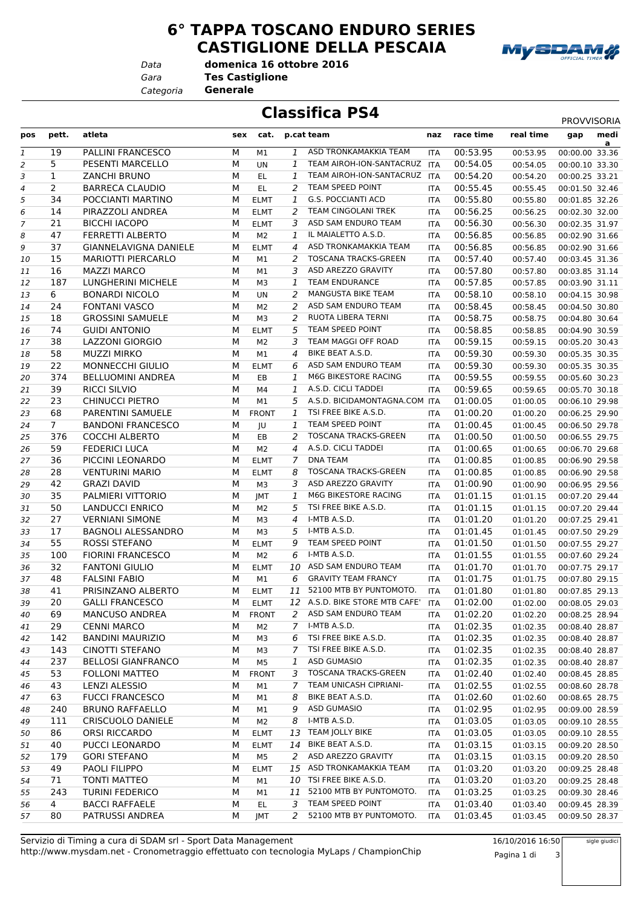**6° TAPPA TOSCANO ENDURO SERIES CASTIGLIONE DELLA PESCAIA**



*Data*

*Gara* **Tes Castiglione domenica 16 ottobre 2016**

*Categoria* **Generale**

## **Classifica PS4** PROVVISORIA

| pos            | pett.          | atleta                    | sex | cat.           |                | p.cat team                     | naz        | race time | real time | medi<br>gap         |
|----------------|----------------|---------------------------|-----|----------------|----------------|--------------------------------|------------|-----------|-----------|---------------------|
| $\mathbf{1}$   | 19             | PALLINI FRANCESCO         | M   | M1             | 1              | ASD TRONKAMAKKIA TEAM          | <b>ITA</b> | 00:53.95  | 00:53.95  | a<br>00:00.00 33.36 |
| 2              | 5              | PESENTI MARCELLO          | М   | UN             | 1              | TEAM AIROH-ION-SANTACRUZ       | <b>ITA</b> | 00:54.05  | 00:54.05  | 00:00.10 33.30      |
| 3              | $\mathbf{1}$   | <b>ZANCHI BRUNO</b>       | М   | EL.            | 1              | TEAM AIROH-ION-SANTACRUZ       | <b>ITA</b> | 00:54.20  | 00:54.20  | 00:00.25 33.21      |
| 4              | $\overline{2}$ | <b>BARRECA CLAUDIO</b>    | М   | EL.            | 2              | TEAM SPEED POINT               | ITA        | 00:55.45  | 00:55.45  | 00:01.50 32.46      |
| 5              | 34             | POCCIANTI MARTINO         | М   | <b>ELMT</b>    | $\mathbf{1}$   | <b>G.S. POCCIANTI ACD</b>      | <b>ITA</b> | 00:55.80  | 00:55.80  | 00:01.85 32.26      |
| 6              | 14             | PIRAZZOLI ANDREA          | М   | <b>ELMT</b>    | 2              | TEAM CINGOLANI TREK            | <b>ITA</b> | 00:56.25  | 00:56.25  | 00:02.30 32.00      |
| $\overline{7}$ | 21             | <b>BICCHI IACOPO</b>      | М   | <b>ELMT</b>    | 3              | ASD SAM ENDURO TEAM            | ITA        | 00:56.30  | 00:56.30  | 00:02.35 31.97      |
| 8              | 47             | <b>FERRETTI ALBERTO</b>   | М   | M <sub>2</sub> | 1              | IL MAIALETTO A.S.D.            | <b>ITA</b> | 00:56.85  | 00:56.85  | 00:02.90 31.66      |
| 9              | 37             | GIANNELAVIGNA DANIELE     | М   | <b>ELMT</b>    | 4              | ASD TRONKAMAKKIA TEAM          | ITA        | 00:56.85  | 00:56.85  | 00:02.90 31.66      |
|                | 15             | <b>MARIOTTI PIERCARLO</b> | М   |                | 2              | <b>TOSCANA TRACKS-GREEN</b>    |            | 00:57.40  | 00:57.40  | 00:03.45 31.36      |
| 10             | 16             | <b>MAZZI MARCO</b>        | М   | M1<br>M1       | 3              | ASD AREZZO GRAVITY             | <b>ITA</b> | 00:57.80  |           | 00:03.85 31.14      |
| 11             | 187            | LUNGHERINI MICHELE        | М   |                | 1              | <b>TEAM ENDURANCE</b>          | <b>ITA</b> | 00:57.85  | 00:57.80  |                     |
| 12             | 6              |                           | М   | M3             |                | MANGUSTA BIKE TEAM             | <b>ITA</b> |           | 00:57.85  | 00:03.90 31.11      |
| 13             |                | <b>BONARDI NICOLO</b>     |     | UN             | 2              |                                | ITA        | 00:58.10  | 00:58.10  | 00:04.15 30.98      |
| 14             | 24             | <b>FONTANI VASCO</b>      | M   | M <sub>2</sub> | 2              | ASD SAM ENDURO TEAM            | <b>ITA</b> | 00:58.45  | 00:58.45  | 00:04.50 30.80      |
| 15             | 18             | <b>GROSSINI SAMUELE</b>   | М   | M3             | 2              | RUOTA LIBERA TERNI             | ITA        | 00:58.75  | 00:58.75  | 00:04.80 30.64      |
| 16             | 74             | <b>GUIDI ANTONIO</b>      | M   | <b>ELMT</b>    | 5              | TEAM SPEED POINT               | <b>ITA</b> | 00:58.85  | 00:58.85  | 00:04.90 30.59      |
| 17             | 38             | LAZZONI GIORGIO           | М   | M <sub>2</sub> | 3              | TEAM MAGGI OFF ROAD            | ITA        | 00:59.15  | 00:59.15  | 00:05.20 30.43      |
| 18             | 58             | <b>MUZZI MIRKO</b>        | М   | M1             | 4              | BIKE BEAT A.S.D.               | ITA        | 00:59.30  | 00:59.30  | 00:05.35 30.35      |
| 19             | 22             | <b>MONNECCHI GIULIO</b>   | М   | <b>ELMT</b>    | 6              | ASD SAM ENDURO TEAM            | ITA        | 00:59.30  | 00:59.30  | 00:05.35 30.35      |
| 20             | 374            | <b>BELLUOMINI ANDREA</b>  | М   | EB             | 1              | M6G BIKESTORE RACING           | <b>ITA</b> | 00:59.55  | 00:59.55  | 00:05.60 30.23      |
| 21             | 39             | <b>RICCI SILVIO</b>       | м   | M4             | 1              | A.S.D. CICLI TADDEI            | <b>ITA</b> | 00:59.65  | 00:59.65  | 00:05.70 30.18      |
| 22             | 23             | <b>CHINUCCI PIETRO</b>    | М   | M1             | 5              | A.S.D. BICIDAMONTAGNA.COM ITA  |            | 01:00.05  | 01:00.05  | 00:06.10 29.98      |
| 23             | 68             | PARENTINI SAMUELE         | М   | <b>FRONT</b>   | $\mathbf{1}$   | TSI FREE BIKE A.S.D.           | <b>ITA</b> | 01:00.20  | 01:00.20  | 00:06.25 29.90      |
| 24             | $7^{\circ}$    | <b>BANDONI FRANCESCO</b>  | М   | JU             | 1              | TEAM SPEED POINT               | <b>ITA</b> | 01:00.45  | 01:00.45  | 00:06.50 29.78      |
| 25             | 376            | <b>COCCHI ALBERTO</b>     | M   | EB             | 2              | <b>TOSCANA TRACKS-GREEN</b>    | <b>ITA</b> | 01:00.50  | 01:00.50  | 00:06.55 29.75      |
| 26             | 59             | <b>FEDERICI LUCA</b>      | М   | M <sub>2</sub> | 4              | A.S.D. CICLI TADDEI            | <b>ITA</b> | 01:00.65  | 01:00.65  | 00:06.70 29.68      |
| 27             | 36             | PICCINI LEONARDO          | М   | <b>ELMT</b>    | $\overline{7}$ | <b>DNA TEAM</b>                | ITA        | 01:00.85  | 01:00.85  | 00:06.90 29.58      |
| 28             | 28             | <b>VENTURINI MARIO</b>    | M   | <b>ELMT</b>    | 8              | <b>TOSCANA TRACKS-GREEN</b>    | <b>ITA</b> | 01:00.85  | 01:00.85  | 00:06.90 29.58      |
| 29             | 42             | <b>GRAZI DAVID</b>        | M   | M3             | 3              | ASD AREZZO GRAVITY             | ITA        | 01:00.90  | 01:00.90  | 00:06.95 29.56      |
| 30             | 35             | PALMIERI VITTORIO         | М   | JMT            | 1              | M6G BIKESTORE RACING           | ITA        | 01:01.15  | 01:01.15  | 00:07.20 29.44      |
| 31             | 50             | LANDUCCI ENRICO           | М   | M <sub>2</sub> | 5              | TSI FREE BIKE A.S.D.           | ITA        | 01:01.15  | 01:01.15  | 00:07.20 29.44      |
| 32             | 27             | <b>VERNIANI SIMONE</b>    | М   | M3             | 4              | I-MTB A.S.D.                   | <b>ITA</b> | 01:01.20  | 01:01.20  | 00:07.25 29.41      |
| 33             | 17             | <b>BAGNOLI ALESSANDRO</b> | М   | M3             | 5              | I-MTB A.S.D.                   | ITA        | 01:01.45  | 01:01.45  | 00:07.50 29.29      |
| 34             | 55             | ROSSI STEFANO             | M   | <b>ELMT</b>    | 9              | TEAM SPEED POINT               | ITA        | 01:01.50  | 01:01.50  | 00:07.55 29.27      |
| 35             | 100            | <b>FIORINI FRANCESCO</b>  | М   | M2             | 6              | I-MTB A.S.D.                   | ITA        | 01:01.55  | 01:01.55  | 00:07.60 29.24      |
| 36             | 32             | <b>FANTONI GIULIO</b>     | М   | <b>ELMT</b>    |                | 10 ASD SAM ENDURO TEAM         | <b>ITA</b> | 01:01.70  | 01:01.70  | 00:07.75 29.17      |
| 37             | 48             | <b>FALSINI FABIO</b>      | M   | M1             | 6              | <b>GRAVITY TEAM FRANCY</b>     | ITA        | 01:01.75  | 01:01.75  | 00:07.80 29.15      |
| 38             | 41             | PRISINZANO ALBERTO        | M   | <b>ELMT</b>    |                | 11 52100 MTB BY PUNTOMOTO.     | <b>ITA</b> | 01:01.80  | 01:01.80  | 00:07.85 29.13      |
| 39             | 20             | <b>GALLI FRANCESCO</b>    | М   | <b>ELMT</b>    |                | 12 A.S.D. BIKE STORE MTB CAFE' | <b>ITA</b> | 01:02.00  | 01:02.00  | 00:08.05 29.03      |
| 40             | 69             | <b>MANCUSO ANDREA</b>     | М   | <b>FRONT</b>   |                | 2 ASD SAM ENDURO TEAM          | ITA        | 01:02.20  | 01:02.20  | 00:08.25 28.94      |
| 41             | 29             | <b>CENNI MARCO</b>        | М   | M <sub>2</sub> |                | 7 I-MTB A.S.D.                 | ITA        | 01:02.35  | 01:02.35  | 00:08.40 28.87      |
| 42             | 142            | <b>BANDINI MAURIZIO</b>   | М   | M3             | 6              | TSI FREE BIKE A.S.D.           | ITA        | 01:02.35  | 01:02.35  | 00:08.40 28.87      |
| 43             | 143            | CINOTTI STEFANO           | М   | M3             | 7              | TSI FREE BIKE A.S.D.           | ITA        | 01:02.35  | 01:02.35  | 00:08.40 28.87      |
| 44             | 237            | <b>BELLOSI GIANFRANCO</b> | М   | M <sub>5</sub> | 1              | ASD GUMASIO                    | ITA        | 01:02.35  | 01:02.35  | 00:08.40 28.87      |
| 45             | 53             | <b>FOLLONI MATTEO</b>     | М   | <b>FRONT</b>   | 3              | <b>TOSCANA TRACKS-GREEN</b>    | ITA        | 01:02.40  | 01:02.40  | 00:08.45 28.85      |
|                | 43             | <b>LENZI ALESSIO</b>      | М   | M1             | 7              | TEAM UNICASH CIPRIANI-         | ITA        | 01:02.55  | 01:02.55  | 00:08.60 28.78      |
| 46             | 63             | <b>FUCCI FRANCESCO</b>    | М   |                | 8              | BIKE BEAT A.S.D.               |            | 01:02.60  |           | 00:08.65 28.75      |
| 47             |                |                           |     | M1             |                | <b>ASD GUMASIO</b>             | ITA        |           | 01:02.60  |                     |
| 48             | 240            | <b>BRUNO RAFFAELLO</b>    | М   | M1             | 9              |                                | ITA        | 01:02.95  | 01:02.95  | 00:09.00 28.59      |
| 49             | 111            | <b>CRISCUOLO DANIELE</b>  | М   | M2             | 8              | I-MTB A.S.D.                   | ITA        | 01:03.05  | 01:03.05  | 00:09.10 28.55      |
| 50             | 86             | ORSI RICCARDO             | М   | <b>ELMT</b>    | 13             | TEAM JOLLY BIKE                | ITA        | 01:03.05  | 01:03.05  | 00:09.10 28.55      |
| 51             | 40             | PUCCI LEONARDO            | М   | <b>ELMT</b>    | 14             | BIKE BEAT A.S.D.               | ITA        | 01:03.15  | 01:03.15  | 00:09.20 28.50      |
| 52             | 179            | <b>GORI STEFANO</b>       | М   | M5             | 2              | ASD AREZZO GRAVITY             | ITA        | 01:03.15  | 01:03.15  | 00:09.20 28.50      |
| 53             | 49             | PAOLI FILIPPO             | М   | <b>ELMT</b>    |                | 15 ASD TRONKAMAKKIA TEAM       | ITA        | 01:03.20  | 01:03.20  | 00:09.25 28.48      |
| 54             | 71             | <b>TONTI MATTEO</b>       | М   | M1             |                | 10 TSI FREE BIKE A.S.D.        | ITA        | 01:03.20  | 01:03.20  | 00:09.25 28.48      |
| 55             | 243            | TURINI FEDERICO           | М   | M1             | 11             | 52100 MTB BY PUNTOMOTO.        | <b>ITA</b> | 01:03.25  | 01:03.25  | 00:09.30 28.46      |
| 56             | $\overline{4}$ | <b>BACCI RAFFAELE</b>     | М   | EL.            | 3              | TEAM SPEED POINT               | ITA        | 01:03.40  | 01:03.40  | 00:09.45 28.39      |
| 57             | 80             | PATRUSSI ANDREA           | М   | <b>JMT</b>     | 2              | 52100 MTB BY PUNTOMOTO.        | <b>ITA</b> | 01:03.45  | 01:03.45  | 00:09.50 28.37      |

http://www.mysdam.net - Cronometraggio effettuato con tecnologia MyLaps / ChampionChip Servizio di Timing a cura di SDAM srl - Sport Data Management 16/10/2016 16:50

sigle giudici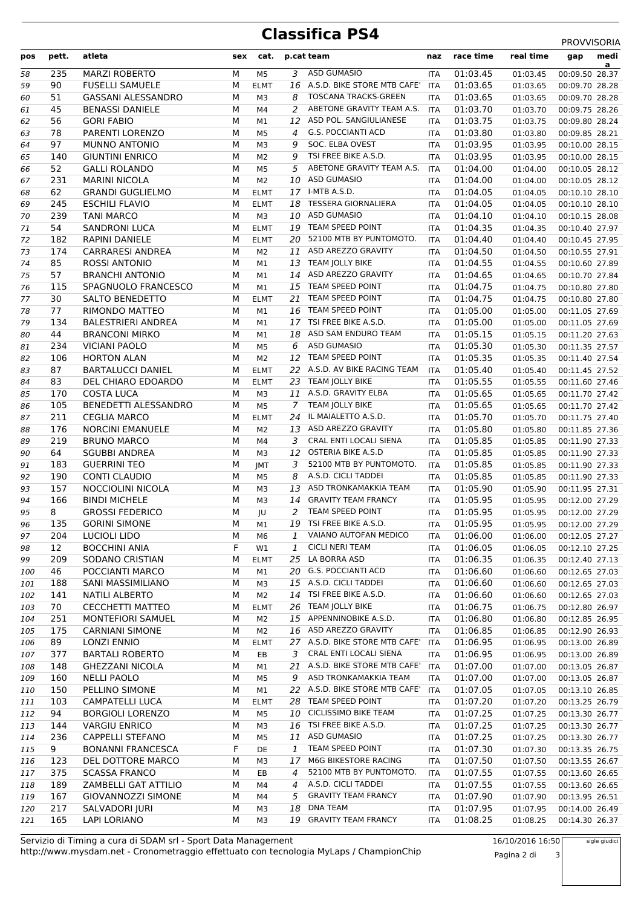## **Classifica PS4** PROVVISORIA

| pos | pett. | atleta                    | sex | cat.           |    | p.cat team                     | naz        | race time | real time | medi<br>gap<br>a |
|-----|-------|---------------------------|-----|----------------|----|--------------------------------|------------|-----------|-----------|------------------|
| 58  | 235   | <b>MARZI ROBERTO</b>      | М   | M <sub>5</sub> | 3  | <b>ASD GUMASIO</b>             | ITA        | 01:03.45  | 01:03.45  | 00:09.50 28.37   |
| 59  | 90    | <b>FUSELLI SAMUELE</b>    | М   | <b>ELMT</b>    |    | 16 A.S.D. BIKE STORE MTB CAFE' | <b>ITA</b> | 01:03.65  | 01:03.65  | 00:09.70 28.28   |
| 60  | 51    | <b>GASSANI ALESSANDRO</b> | M   | M3             | 8  | <b>TOSCANA TRACKS-GREEN</b>    | <b>ITA</b> | 01:03.65  | 01:03.65  | 00:09.70 28.28   |
| 61  | 45    | <b>BENASSI DANIELE</b>    | M   | M4             | 2  | ABETONE GRAVITY TEAM A.S.      | <b>ITA</b> | 01:03.70  | 01:03.70  | 00:09.75 28.26   |
| 62  | 56    | <b>GORI FABIO</b>         | М   | M1             | 12 | ASD POL. SANGIULIANESE         | <b>ITA</b> | 01:03.75  | 01:03.75  | 00:09.80 28.24   |
| 63  | 78    | PARENTI LORENZO           | M   | M5             | 4  | <b>G.S. POCCIANTI ACD</b>      | <b>ITA</b> | 01:03.80  | 01:03.80  | 00:09.85 28.21   |
| 64  | 97    | MUNNO ANTONIO             | M   | M3             | 9  | SOC. ELBA OVEST                | <b>ITA</b> | 01:03.95  | 01:03.95  | 00:10.00 28.15   |
| 65  | 140   | <b>GIUNTINI ENRICO</b>    | M   | M <sub>2</sub> | 9  | TSI FREE BIKE A.S.D.           | <b>ITA</b> | 01:03.95  | 01:03.95  | 00:10.00 28.15   |
| 66  | 52    | <b>GALLI ROLANDO</b>      | M   | M <sub>5</sub> | 5  | ABETONE GRAVITY TEAM A.S.      | <b>ITA</b> | 01:04.00  | 01:04.00  | 00:10.05 28.12   |
| 67  | 231   | <b>MARINI NICOLA</b>      | М   | M <sub>2</sub> |    | 10 ASD GUMASIO                 | <b>ITA</b> | 01:04.00  | 01:04.00  | 00:10.05 28.12   |
| 68  | 62    | <b>GRANDI GUGLIELMO</b>   | М   | <b>ELMT</b>    |    | 17 I-MTB A.S.D.                | ITA        | 01:04.05  | 01:04.05  | 00:10.10 28.10   |
| 69  | 245   | <b>ESCHILI FLAVIO</b>     | M   | <b>ELMT</b>    |    | 18 TESSERA GIORNALIERA         | <b>ITA</b> | 01:04.05  | 01:04.05  | 00:10.10 28.10   |
| 70  | 239   | <b>TANI MARCO</b>         | М   | M3             |    | 10 ASD GUMASIO                 | <b>ITA</b> | 01:04.10  | 01:04.10  | 00:10.15 28.08   |
| 71  | 54    | <b>SANDRONI LUCA</b>      | М   | <b>ELMT</b>    |    | 19 TEAM SPEED POINT            | <b>ITA</b> | 01:04.35  | 01:04.35  | 00:10.40 27.97   |
| 72  | 182   | RAPINI DANIELE            | M   | <b>ELMT</b>    |    | 20 52100 MTB BY PUNTOMOTO.     | <b>ITA</b> | 01:04.40  | 01:04.40  | 00:10.45 27.95   |
| 73  | 174   | <b>CARRARESI ANDREA</b>   | М   | M <sub>2</sub> |    | 11 ASD AREZZO GRAVITY          | <b>ITA</b> | 01:04.50  | 01:04.50  | 00:10.55 27.91   |
| 74  | 85    | <b>ROSSI ANTONIO</b>      | M   | M1             |    | 13 TEAM JOLLY BIKE             | ITA        | 01:04.55  | 01:04.55  | 00:10.60 27.89   |
|     | 57    | <b>BRANCHI ANTONIO</b>    | M   |                |    | 14 ASD AREZZO GRAVITY          |            | 01:04.65  | 01:04.65  |                  |
| 75  |       | SPAGNUOLO FRANCESCO       |     | M1             |    | 15 TEAM SPEED POINT            | <b>ITA</b> |           |           | 00:10.70 27.84   |
| 76  | 115   | <b>SALTO BENEDETTO</b>    | M   | M1             |    | 21 TEAM SPEED POINT            | <b>ITA</b> | 01:04.75  | 01:04.75  | 00:10.80 27.80   |
| 77  | 30    |                           | M   | <b>ELMT</b>    |    |                                | <b>ITA</b> | 01:04.75  | 01:04.75  | 00:10.80 27.80   |
| 78  | 77    | RIMONDO MATTEO            | M   | M1             |    | 16 TEAM SPEED POINT            | ITA        | 01:05.00  | 01:05.00  | 00:11.05 27.69   |
| 79  | 134   | <b>BALESTRIERI ANDREA</b> | М   | M1             |    | 17 TSI FREE BIKE A.S.D.        | ITA        | 01:05.00  | 01:05.00  | 00:11.05 27.69   |
| 80  | 44    | <b>BRANCONI MIRKO</b>     | M   | M1             |    | 18 ASD SAM ENDURO TEAM         | ITA        | 01:05.15  | 01:05.15  | 00:11.20 27.63   |
| 81  | 234   | <b>VICIANI PAOLO</b>      | M   | M <sub>5</sub> | 6  | <b>ASD GUMASIO</b>             | <b>ITA</b> | 01:05.30  | 01:05.30  | 00:11.35 27.57   |
| 82  | 106   | <b>HORTON ALAN</b>        | M   | M <sub>2</sub> |    | 12 TEAM SPEED POINT            | <b>ITA</b> | 01:05.35  | 01:05.35  | 00:11.40 27.54   |
| 83  | 87    | <b>BARTALUCCI DANIEL</b>  | М   | <b>ELMT</b>    |    | 22 A.S.D. AV BIKE RACING TEAM  | <b>ITA</b> | 01:05.40  | 01:05.40  | 00:11.45 27.52   |
| 84  | 83    | DEL CHIARO EDOARDO        | M   | <b>ELMT</b>    |    | 23 TEAM JOLLY BIKE             | <b>ITA</b> | 01:05.55  | 01:05.55  | 00:11.60 27.46   |
| 85  | 170   | <b>COSTA LUCA</b>         | М   | M3             |    | 11 A.S.D. GRAVITY ELBA         | <b>ITA</b> | 01:05.65  | 01:05.65  | 00:11.70 27.42   |
| 86  | 105   | BENEDETTI ALESSANDRO      | М   | M <sub>5</sub> |    | 7 TEAM JOLLY BIKE              | ITA        | 01:05.65  | 01:05.65  | 00:11.70 27.42   |
| 87  | 211   | <b>CEGLIA MARCO</b>       | М   | <b>ELMT</b>    |    | 24 IL MAIALETTO A.S.D.         | <b>ITA</b> | 01:05.70  | 01:05.70  | 00:11.75 27.40   |
| 88  | 176   | <b>NORCINI EMANUELE</b>   | М   | M <sub>2</sub> |    | 13 ASD AREZZO GRAVITY          | <b>ITA</b> | 01:05.80  | 01:05.80  | 00:11.85 27.36   |
| 89  | 219   | <b>BRUNO MARCO</b>        | М   | M4             | 3  | CRAL ENTI LOCALI SIENA         | <b>ITA</b> | 01:05.85  | 01:05.85  | 00:11.90 27.33   |
| 90  | 64    | <b>SGUBBI ANDREA</b>      | M   | M3             |    | 12 OSTERIA BIKE A.S.D          | <b>ITA</b> | 01:05.85  | 01:05.85  | 00:11.90 27.33   |
| 91  | 183   | <b>GUERRINI TEO</b>       | М   | JMT            | 3  | 52100 MTB BY PUNTOMOTO.        | ITA        | 01:05.85  | 01:05.85  | 00:11.90 27.33   |
| 92  | 190   | <b>CONTI CLAUDIO</b>      | M   | M5             | 8  | A.S.D. CICLI TADDEI            | ITA        | 01:05.85  | 01:05.85  | 00:11.90 27.33   |
| 93  | 157   | NOCCIOLINI NICOLA         | M   | M3             | 13 | ASD TRONKAMAKKIA TEAM          | <b>ITA</b> | 01:05.90  | 01:05.90  | 00:11.95 27.31   |
| 94  | 166   | <b>BINDI MICHELE</b>      | M   | M3             | 14 | <b>GRAVITY TEAM FRANCY</b>     | <b>ITA</b> | 01:05.95  | 01:05.95  | 00:12.00 27.29   |
| 95  | 8     | <b>GROSSI FEDERICO</b>    | M   | JU             | 2  | TEAM SPEED POINT               | <b>ITA</b> | 01:05.95  | 01:05.95  | 00:12.00 27.29   |
| 96  | 135   | <b>GORINI SIMONE</b>      | M   | M1             |    | 19 TSI FREE BIKE A.S.D.        | <b>ITA</b> | 01:05.95  | 01:05.95  | 00:12.00 27.29   |
| 97  | 204   | <b>LUCIOLI LIDO</b>       | М   | M6             | 1  | VAIANO AUTOFAN MEDICO          | ITA        | 01:06.00  | 01:06.00  | 00:12.05 27.27   |
| 98  | 12    | <b>BOCCHINI ANIA</b>      | F   | W1             | 1  | <b>CICLI NERI TEAM</b>         | <b>ITA</b> | 01:06.05  | 01:06.05  | 00:12.10 27.25   |
| 99  | 209   | SODANO CRISTIAN           | М   | <b>ELMT</b>    | 25 | LA BORRA ASD                   | ITA        | 01:06.35  | 01:06.35  | 00:12.40 27.13   |
| 100 | 46    | POCCIANTI MARCO           | М   | M1             |    | 20 G.S. POCCIANTI ACD          | <b>ITA</b> | 01:06.60  | 01:06.60  | 00:12.65 27.03   |
| 101 | 188   | SANI MASSIMILIANO         | М   | M3             |    | 15 A.S.D. CICLI TADDEI         | ITA        | 01:06.60  | 01:06.60  | 00:12.65 27.03   |
| 102 | 141   | <b>NATILI ALBERTO</b>     | М   | M <sub>2</sub> |    | 14 TSI FREE BIKE A.S.D.        | ITA        | 01:06.60  | 01:06.60  | 00:12.65 27.03   |
| 103 | 70    | <b>CECCHETTI MATTEO</b>   | М   | <b>ELMT</b>    |    | 26 TEAM JOLLY BIKE             | <b>ITA</b> | 01:06.75  | 01:06.75  | 00:12.80 26.97   |
| 104 | 251   | MONTEFIORI SAMUEL         | М   | M2             |    | 15 APPENNINOBIKE A.S.D.        | <b>ITA</b> | 01:06.80  | 01:06.80  | 00:12.85 26.95   |
| 105 | 175   | <b>CARNIANI SIMONE</b>    | М   | M <sub>2</sub> |    | 16 ASD AREZZO GRAVITY          | ITA        | 01:06.85  | 01:06.85  | 00:12.90 26.93   |
| 106 | 89    | <b>LONZI ENNIO</b>        | М   | <b>ELMT</b>    |    | 27 A.S.D. BIKE STORE MTB CAFE' | <b>ITA</b> | 01:06.95  | 01:06.95  | 00:13.00 26.89   |
| 107 | 377   | <b>BARTALI ROBERTO</b>    | М   | EB             | 3  | CRAL ENTI LOCALI SIENA         | ITA        | 01:06.95  | 01:06.95  | 00:13.00 26.89   |
| 108 | 148   | <b>GHEZZANI NICOLA</b>    | М   | M1             |    | 21 A.S.D. BIKE STORE MTB CAFE' | ITA        | 01:07.00  | 01:07.00  | 00:13.05 26.87   |
| 109 | 160   | <b>NELLI PAOLO</b>        | М   | M5             | 9  | ASD TRONKAMAKKIA TEAM          | ITA        | 01:07.00  | 01:07.00  | 00:13.05 26.87   |
|     | 150   | PELLINO SIMONE            | М   | M1             |    | 22 A.S.D. BIKE STORE MTB CAFE' | ITA        | 01:07.05  |           |                  |
| 110 | 103   | <b>CAMPATELLI LUCA</b>    |     |                |    | 28 TEAM SPEED POINT            |            |           | 01:07.05  | 00:13.10 26.85   |
| 111 |       |                           | М   | <b>ELMT</b>    |    | 10 CICLISSIMO BIKE TEAM        | <b>ITA</b> | 01:07.20  | 01:07.20  | 00:13.25 26.79   |
| 112 | 94    | <b>BORGIOLI LORENZO</b>   | М   | M5             |    | 16 TSI FREE BIKE A.S.D.        | <b>ITA</b> | 01:07.25  | 01:07.25  | 00:13.30 26.77   |
| 113 | 144   | <b>VARGIU ENRICO</b>      | М   | M3             |    |                                | ITA        | 01:07.25  | 01:07.25  | 00:13.30 26.77   |
| 114 | 236   | <b>CAPPELLI STEFANO</b>   | М   | M5             |    | 11 ASD GUMASIO                 | ITA        | 01:07.25  | 01:07.25  | 00:13.30 26.77   |
| 115 | 9     | <b>BONANNI FRANCESCA</b>  | F   | DE             | 1  | TEAM SPEED POINT               | <b>ITA</b> | 01:07.30  | 01:07.30  | 00:13.35 26.75   |
| 116 | 123   | DEL DOTTORE MARCO         | М   | M3             | 17 | M6G BIKESTORE RACING           | ITA        | 01:07.50  | 01:07.50  | 00:13.55 26.67   |
| 117 | 375   | <b>SCASSA FRANCO</b>      | М   | EB             | 4  | 52100 MTB BY PUNTOMOTO.        | <b>ITA</b> | 01:07.55  | 01:07.55  | 00:13.60 26.65   |
| 118 | 189   | ZAMBELLI GAT ATTILIO      | м   | M4             | 4  | A.S.D. CICLI TADDEI            | <b>ITA</b> | 01:07.55  | 01:07.55  | 00:13.60 26.65   |
| 119 | 167   | GIOVANNOZZI SIMONE        | М   | M4             | 5  | <b>GRAVITY TEAM FRANCY</b>     | ITA        | 01:07.90  | 01:07.90  | 00:13.95 26.51   |
| 120 | 217   | SALVADORI JURI            | М   | M3             | 18 | <b>DNA TEAM</b>                | <b>ITA</b> | 01:07.95  | 01:07.95  | 00:14.00 26.49   |
| 121 | 165   | LAPI LORIANO              | М   | MЗ             |    | 19 GRAVITY TEAM FRANCY         | ITA        | 01:08.25  | 01:08.25  | 00:14.30 26.37   |

http://www.mysdam.net - Cronometraggio effettuato con tecnologia MyLaps / ChampionChip Servizio di Timing a cura di SDAM srl - Sport Data Management 16/10/2016 16:50

Pagina 2 di 3

sigle giudici